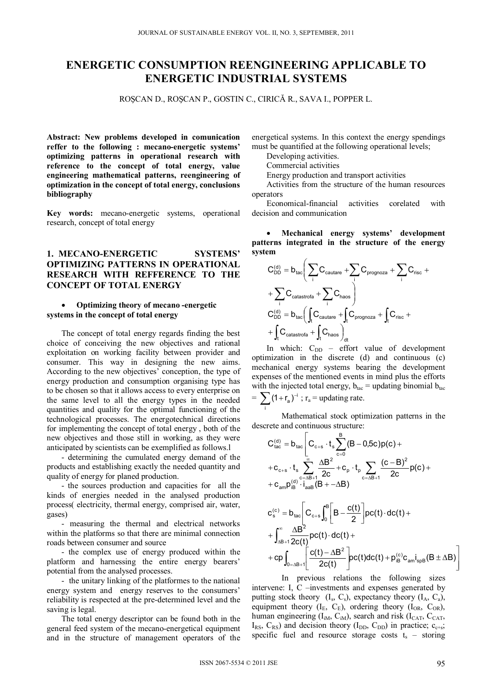# **ENERGETIC CONSUMPTION REENGINEERING APPLICABLE TO ENERGETIC INDUSTRIAL SYSTEMS**

ROŞCAN D., ROŞCAN P., GOSTIN C., CIRICĂ R., SAVA I., POPPER L.

**Abstract: New problems developed in comunication reffer to the following : mecano-energetic systems' optimizing patterns in operational research with reference to the concept of total energy, value engineering mathematical patterns, reengineering of optimization in the concept of total energy, conclusions bibliography** 

**Key words:** mecano-energetic systems, operational research, concept of total energy

# **1. MECANO-ENERGETIC SYSTEMS' OPTIMIZING PATTERNS IN OPERATIONAL RESEARCH WITH REFFERENCE TO THE CONCEPT OF TOTAL ENERGY**

#### **Optimizing theory of mecano -energetic systems in the concept of total energy**

The concept of total energy regards finding the best choice of conceiving the new objectives and rational exploitation on working facility between provider and consumer. This way in designing the new aims. According to the new objectives' conception, the type of energy production and consumption organising type has to be chosen so that it allows access to every enterprise on the same level to all the energy types in the needed quantities and quality for the optimal functioning of the technological processes. The energotechnical directions for implementing the concept of total energy , both of the new objectives and those still in working, as they were anticipated by scientists can be exemplified as follows.l

- determining the cumulated energy demand of the products and establishing exactly the needed quantity and quality of energy for planed production.

- the sources production and capacities for all the kinds of energies needed in the analysed production process( electricity, thermal energy, comprised air, water, gases)

- measuring the thermal and electrical networks within the platforms so that there are minimal connection roads between consumer and source

- the complex use of energy produced within the platform and harnessing the entire energy bearers' potential from the analysed processes.

- the unitary linking of the platformes to the national energy system and energy reserves to the consumers' reliability is respected at the pre-determined level and the saving is legal.

The total energy descriptor can be found both in the general feed system of the mecano-energetical equipment and in the structure of management operators of the

energetical systems. In this context the energy spendings must be quantified at the following operational levels;

Developing activities.

Commercial activities

Energy production and transport activities

Activities from the structure of the human resources operators

Economical-financial activities corelated with decision and communication

 **Mechanical energy systems' development patterns integrated in the structure of the energy system**

$$
C_{DD}^{(d)} = b_{tac} \left( \sum_{i} C_{cautare} + \sum_{i} C_{programoza} + \sum_{i} C_{rise} + \right. \\ + \sum_{i} C_{catastrofa} + \sum_{i} C_{haos} \right) \\ C_{DD}^{(d)} = b_{tac} \left( \int_{t} C_{cautare} + \int_{t} C_{programoza} + \int_{t} C_{rise} + \right. \\ + \int_{t} C_{catastrofa} + \int_{t} C_{haos} \right)_{dt}
$$

In which:  $C_{DD}$  – effort value of development optimization in the discrete (d) and continuous (c) mechanical energy systems bearing the development expenses of the mentioned events in mind plus the efforts with the injected total energy,  $b_{\text{fac}}$  = updating binomial  $b_{\text{tac}}$  $= \sum_{n=1}^{\infty} (1 + r_a)^{-1}$ ;  $r_a =$  updating rate.

 Mathematical stock optimization patterns in the descrete and continuous structure:

$$
\begin{aligned} &C^{(d)}_{tac}=b_{tac}\Bigg[C_{c+s}\cdot t_s\sum_{c=0}^{B}(B-0.5c)p(c)+\\&+c_{c+s}\cdot t_s\sum_{c=AB+1}^{\infty}\frac{\Delta B^2}{2c}+c_p\cdot t_p\sum_{c=AB+1}\frac{(c-B)^2}{2c}p(c)+\\&+c_{am}p^{(d)}_{iB}\cdot i_{aaB}(B+-\Delta B)\\&c^{(c)}_s=b_{tac}\Bigg[C_{c+s}\int_{0}^{B}\Bigg[B-\frac{c(t)}{2}\Bigg]pc(t)\cdot dc(t)+\\&+\int_{\Delta B+1}^{\infty}\frac{\Delta B^2}{2c(t)}pc(t)\cdot dc(t)+\\&+cp\int_{0=\Delta B+1}\Bigg[\frac{c(t)-\Delta B^2}{2c(t)}pc(t)dc(t)+p^{(c)}_{iB}c_{am}i_{spB}(B\pm\Delta B)\Bigg] \end{aligned}
$$

 In previous relations the following sizes intervene: I, C –investments and expenses generated by putting stock theory  $(I_s, C_s)$ , expectancy theory  $(I_A, C_a)$ , equipment theory  $(I_E, C_E)$ , ordering theory  $(I_{OR}, C_{OR})$ , human engineering  $(I_{iM}, C_{iM})$ , search and risk  $(I_{CAT}, C_{CAT}$ ,  $I_{RS}$ ,  $C_{RS}$ ) and decision theory ( $I_{DD}$ ,  $C_{DD}$ ) in practice;  $c_{c+s}$ ; specific fuel and resource storage costs  $t_s$  – storing

 $2c(t)$ 

L

i

 $\overline{a}$ 

 $\overline{a}$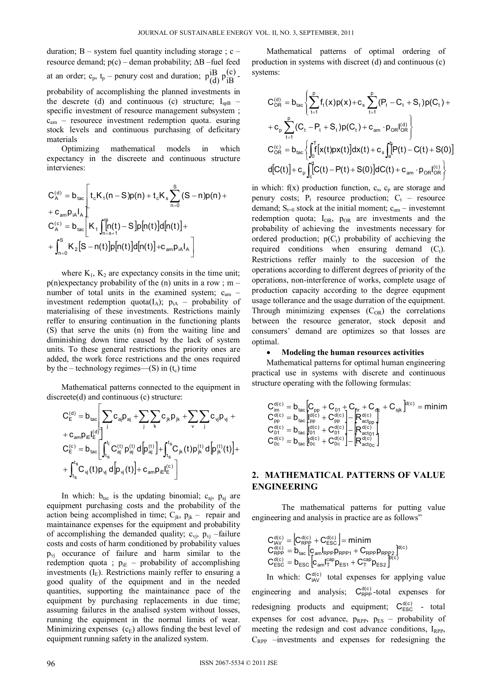duration:  $B -$  system fuel quantity including storage :  $c$ resource demand;  $p(c)$  – deman probability;  $\Delta B$  –fuel feed at an order;  $c_p$ ,  $t_p$  – penury cost and duration;  $p_{\text{(d)}}^{iB}p_{iB}^{(c)}$ . probability of accomplishing the planned investments in the descrete (d) and continuous (c) structure;  $I_{s0}$  – specific investment of resource management subsystem;  $c<sub>am</sub>$  – resourece investment redemption quota. esuring stock levels and continuous purchasing of deficitary materials

Optimizing mathematical models in which expectancy in the discreete and continuous structure intervienes:

$$
C_A^{(d)} = b_{tac} \left[ t_c K_1 (n - S) p(n) + t_c K_s \sum_{n = 0}^{S} (S - n) p(n) + t_{c a_{m} b_{n} l_{A}} \right]
$$
  
\n
$$
C_A^{(c)} = b_{tac} \left[ K_1 \int_{n = s + 1}^{n} [n(t) - S] p[n(t)] d[n(t)] + t_{c a_{m} b_{n} l_{A}} \right]
$$
  
\n
$$
+ \int_{n = 0}^{S} K_2 [S - n(t)] p[n(t)] d[n(t)] + c_{a_{m} b_{n} l_{A}} \right]
$$

where  $K_1$ ,  $K_2$  are expectancy consits in the time unit;  $p(n)$ expectancy probability of the (n) units in a row ; m – number of total units in the examined system; c<sub>am</sub> investment redemption quota( $I_A$ );  $p_{iA}$  – probability of materialising of these investments. Restrictions mainly reffer to ensuring continuation in the functioning plants (S) that serve the units (n) from the waiting line and diminishing down time caused by the lack of system units. To these general restrictions the priority ones are added, the work force restrictions and the ones required by the – technology regimes— $(S)$  in  $(t_c)$  time

Mathematical patterns connected to the equipment in discreete(d) and continuous (c) structure:

$$
\begin{aligned} &C_{\text{E}}^{(d)} = b_{\text{tac}}\Bigg|\sum_{j}c_{aj}p_{aj} + \sum_{j}\sum_{k}c_{jk}p_{jk} + \sum_{v}\sum_{j}c_{vj}p_{vj} + \\ &+ c_{am}p_{i\text{E}}I_{\text{E}}^{(d)}\Bigg|_{t_s}^{t_i}C_{aj}^{(t)}\,p_{aj}^{(t)}\,d\Big[p_{aj}^{(t)}\Big] + \int_{t_s}^{t_s}C_{jk}(t)p_{jk}^{(t)}\,d\Big[p_{jk}^{(t)}(t)\Big] + \\ &+ \int_{t_s}^{t_s}C_{vj}(t)p_{vj}\,d\Big[p_{vj}(t)\Big] + c_{am}p_{i\text{E}}I_{\text{E}}^{(c)}\Bigg] \end{aligned}
$$

In which:  $b_{\text{tac}}$  is the updating binomial;  $c_{\text{ai}}$ ,  $p_{\text{ai}}$  are equipment purchasing costs and the probability of the action being accomplished in time;  $C_{jk}$ ,  $p_{jk}$  – repair and maintainance expenses for the equipment and probability of accomplishing the demanded quality;  $c_{vi}$ ,  $p_{vi}$  –failure costs and costs of harm conditioned by probability values  $p_{vi}$  occurance of failure and harm similar to the redemption quota ;  $p_{iE}$  – probability of accomplishing investments  $(I<sub>E</sub>)$ . Restrictions mainly reffer to ensuring a good quality of the equipment and in the needed quantities, supporting the maintainance pace of the equipment by purchasing replacements in due time; assuming failures in the analised system without losses, running the equipment in the normal limits of wear. Minimizing expenses  $(c_E)$  allows finding the best level of equipment running safety in the analized system.

Mathematical patterns of optimal ordering of production in systems with discreet (d) and continuous (c) systems:

$$
C_{OR}^{(d)} = b_{tac} \left\{ \sum_{t=1}^{p} f_t(x) p(x) + c_s \sum_{t=1}^{p} (P_t - C_t + S_t) p(C_t) +
$$
  
+  $c_p \sum_{t=1}^{p} (C_t - P_t + S_t) p(C_t) + c_{am} \cdot p_{OR} I_{OR}^{(d)} \right\}$   

$$
C_{OR}^{(c)} = b_{tac} \left\{ \int_0^T \left[ x(t) p x(t) \right] dx(t) + c_s \int_a^b [P(t) - C(t) + S(0)] dt(t) \right\} dt(t) + c_p \int_c^b [C(t) - P(t) + S(0)] dC(t) + c_{am} \cdot p_{OR} I_{OR}^{(c)} \right\}
$$

in which:  $f(x)$  production function,  $c_s$ ,  $c_p$  are storage and penury costs;  $P_t$  resource production;  $C_t$  – resource demand;  $S_{t=0}$  stock at the initial moment;  $c_{am}$  – investemnt redemption quota;  $I_{OR}$ ,  $p_{OR}$  are investments and the probability of achieving the investments necessary for ordered production;  $p(C_t)$  probability of acchieving the required conditions when ensuring demand  $(C_t)$ . Restrictions reffer mainly to the succesion of the operations according to different degrees of priority of the operations, non-interference of works, complete usage of production capacity according to the degree equpment usage tollerance and the usage durration of the equipment. Through minimizing expenses  $(C<sub>OR</sub>)$  the correlations between the resource generator, stock deposit and consumers' demand are optimizes so that losses are optimal.

#### **Modeling the human resources activities**

Mathematical patterns for optimal human engineering practical use in systems with discrete and continuous structure operating with the following formulas:

$$
\begin{array}{l} C_{im}^{d(c)} = b_{tac} \left[ C_{pp} + C_{01} + C_{nr} + C_{qp} + C_{sjk} \right]^{d(c)} = minim \\ C_{pp}^{d(c)} = b_{tac} \left[ \begin{matrix} d(c) \\ p(p) \end{matrix} + C_{pp}^{d(c)} \right] - \left[ R_{actpp}^{d(c)} \right] \\ C_{01}^{d(c)} = b_{tac} \left[ \begin{matrix} d(c) \\ 0 \\ 0 \end{matrix} + C_{01}^{d(c)} \right] - \left[ R_{act01}^{d(c)} \right] \\ C_{0c}^{d(c)} = b_{tac} \left[ \begin{matrix} d(c) \\ 0 \\ 0 \end{matrix} + C_{0c}^{d(c)} \right] - \left[ R_{act01}^{d(c)} \right] \end{array}
$$

# **2. MATHEMATICAL PATTERNS OF VALUE ENGINEERING**

 The mathematical patterns for putting value engineering and analysis in practice are as follows"

$$
\begin{array}{l} C_{\text{IAV}}^{d(c)} = \left[ C_{\text{RPP}}^{d(c)} + C_{\text{ESC}}^{d(c)} \right] = minim \\ C_{\text{RPP}}^{d(c)} = b_{\text{tac}} \left[ c_{\text{am}} \right]_{\text{RPP}} p_{\text{RPP1}} + C_{\text{RPP}} p_{\text{RPP2}} \left]^{d(c)} \\ C_{\text{ESC}}^{d(c)} = b_{\text{ESC}} \left[ c_{\text{am}} \right]_{\tau}^{cap} p_{\text{ES1}} + C_{\tau}^{cap} p_{\text{ES2}} \left. \right]^{d(c)} \end{array}
$$

In which:  $C_{\text{IAV}}^{d(c)}$  total expenses for applying value engineering and analysis;  $C_{\text{RPP}}^{d(c)}$ -total expenses for redesigning products and equipment;  $C_{\text{esc}}^{d(c)}$  - total expenses for cost advance,  $p_{RPP}$ ,  $p_{ES}$  – probability of meeting the redesign and cost advance conditions, I<sub>RPP</sub>,  $C_{RPP}$  –investments and expenses for redesigning the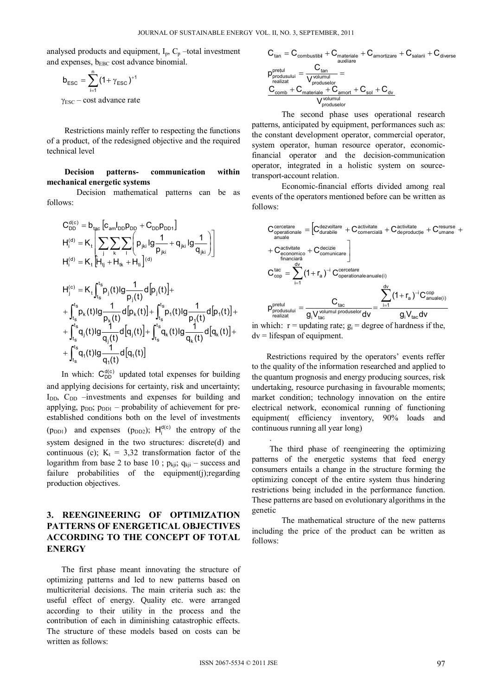analysed products and equipment,  $I_p$ ,  $C_p$  –total investment and expenses,  $b_{\text{EBC}}$  cost advance binomial.

$$
b_{\text{esc}} = \sum_{i=1}^{n} (1 + \gamma_{\text{esc}})^{+1}
$$

 $\gamma_{\text{esc}} - \text{cost}$  advance rate

 Restrictions mainly reffer to respecting the functions of a product, of the redesigned objective and the required technical level

#### **Decision patterns- communication within mechanical energetic systems**

 Decision mathematical patterns can be as follows:

$$
\begin{aligned} &C_{DD}^{d(c)}=b_{tac}\left[c_{am}I_{DD}p_{DD}+C_{DD}p_{DD1}\right]\\ &H_{i}^{(d)}=K_{t}\left[\sum_{j}\sum_{k}\sum_{l}\left(p_{jki}|g\frac{1}{p_{jki}}+q_{jki}|g\frac{1}{q_{jki}}\right)\right]\\ &H_{i}^{(d)}=K_{t}\left[H_{ij}^{t}+H_{tk}+H_{ti}\right]^{(d)}\\ &H_{j}^{(c)}=K_{t}\int_{t_{s}}^{t_{s}}p_{j}(t)lg\frac{1}{p_{j}(t)}d\left[p_{j}(t)\right]+\\ &+\int_{t_{s}}^{t_{s}}p_{k}(t)lg\frac{1}{p_{k}(t)}d\left[p_{k}(t)\right]+\int_{t_{s}}^{t_{s}}p_{i}(t)lg\frac{1}{p_{j}(t)}d\left[p_{i}(t)\right]+\\ &+\int_{t_{s}}^{t_{s}}q_{j}(t)lg\frac{1}{q_{j}(t)}d\left[q_{j}(t)\right]+\int_{t_{s}}^{t_{s}}q_{k}(t)lg\frac{1}{q_{k}(t)}d\left[q_{k}(t)\right]+\\ &+\int_{t_{s}}^{t_{s}}q_{i}(t)lg\frac{1}{q_{i}(t)}d\left[q_{i}(t)\right]\end{aligned}
$$

In which:  $C_{DD}^{d(c)}$  updated total expenses for building and applying decisions for certainty, risk and uncertainty; I<sub>DD</sub>, C<sub>DD</sub> –investments and expenses for building and applying,  $p_{DD}$ ;  $p_{DD1}$  – probability of achievement for preestablished conditions both on the level of investments  $(p_{DD1})$  and expenses  $(p_{DD2})$ ;  $H_i^{d(c)}$  the entropy of the system designed in the two structures: discrete(d) and continuous (c);  $K_t = 3.32$  transformation factor of the logarithm from base 2 to base 10 ;  $p_{kji}$ ;  $q_{kji}$  – success and failure probabilities of the equipment(j);regarding production objectives.

# **3. REENGINEERING OF OPTIMIZATION PATTERNS OF ENERGETICAL OBJECTIVES ACCORDING TO THE CONCEPT OF TOTAL ENERGY**

The first phase meant innovating the structure of optimizing patterns and led to new patterns based on multicriterial decisions. The main criteria such as: the useful effect of energy. Quality etc. were arranged according to their utility in the process and the contribution of each in diminishing catastrophic effects. The structure of these models based on costs can be written as follows:

$$
C_{tan} = C_{\text{combustibil}} + C_{\text{materiale}} + C_{\text{amortizare}} + C_{\text{salarii}} + C_{\text{diverse}}
$$
\n
$$
p_{\text{produal}}^{\text{preful}} = \frac{C_{tan}}{V_{\text{produksulur}}} =
$$
\n
$$
\frac{C_{\text{comb}} + C_{\text{materiale}} + C_{\text{amort}} + C_{\text{sol}} + C_{\text{dv}}}{V_{\text{produksulor}}^{\text{volume}}} =
$$
\n
$$
\frac{C_{\text{comb}} + C_{\text{materiale}} + C_{\text{amort}} + C_{\text{sol}} + C_{\text{dv}}}{V_{\text{produksulor}}^{\text{volume}}}
$$

 The second phase uses operational research patterns, anticipated by equipment, performances such as: the constant development operator, commercial operator, system operator, human resource operator, economicfinancial operator and the decision-communication operator, integrated in a holistic system on sourcetransport-account relation.

 Economic-financial efforts divided among real events of the operators mentioned before can be written as follows:

$$
\begin{aligned} &\mathbf{C}_{\text{operationale}}^{\text{correctare}} = \left[ C_{\text{durabile}}^{\text{dezvoltate}} + C_{\text{cornercial}}^{\text{activitate}} + C_{\text{deproductie}}^{\text{activitate}} + C_{\text{umane}}^{\text{resurse}} + \right. \\ & + C_{\text{economicarea}}^{\text{activitate}} \\ & + C_{\text{economicarea}}^{\text{activitate}} \right. \\ & \left. C_{\text{cop}}^{\text{activitate}} = \sum_{i=1}^{d_{\text{V}}} (1 + r_{\text{a}})^{-i} \, C_{\text{operative}}^{\text{correctare}} \\ & \mathbf{C}_{\text{cop}}^{\text{tac}} = \sum_{i=1}^{d_{\text{V}}} (1 + r_{\text{a}})^{-i} \, C_{\text{operationaleanuale}(i)}^{\text{correctare}} \\ & \mathbf{p}_{\text{prodizat}}^{\text{ortual}} = \frac{C_{\text{tac}}}{g_{i} V_{\text{tac}}} \end{aligned}
$$

in which:  $r =$  updating rate;  $g_i =$  degree of hardness if the,  $dv =$  lifespan of equipment.

Restrictions required by the operators' events reffer to the quality of the information researched and applied to the quantum prognosis and energy producing sources, risk undertaking, resource purchasing in favourable moments; market condition; technology innovation on the entire electrical network, economical running of functioning equipment( efficiency inventory, 90% loads and continuous running all year long)

 The third phase of reengineering the optimizing patterns of the energetic systems that feed energy consumers entails a change in the structure forming the optimizing concept of the entire system thus hindering restrictions being included in the performance function. These patterns are based on evolutionary algorithms in the genetic

 The mathematical structure of the new patterns including the price of the product can be written as follows:

.